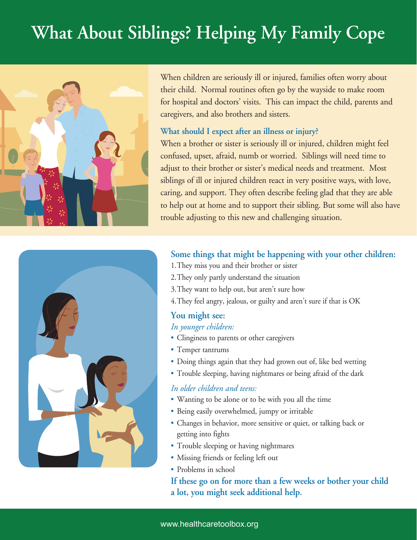# **What About Siblings? Helping My Family Cope**



When children are seriously ill or injured, families often worry about their child. Normal routines often go by the wayside to make room for hospital and doctors' visits. This can impact the child, parents and caregivers, and also brothers and sisters.

### **What should I expect after an illness or injury?**

When a brother or sister is seriously ill or injured, children might feel confused, upset, afraid, numb or worried. Siblings will need time to adjust to their brother or sister's medical needs and treatment. Most siblings of ill or injured children react in very positive ways, with love, caring, and support. They often describe feeling glad that they are able to help out at home and to support their sibling. But some will also have trouble adjusting to this new and challenging situation.



## **Some things that might be happening with your other children:**

- 1.They miss you and their brother or sister
- 2.They only partly understand the situation
- 3.They want to help out, but aren't sure how
- 4.They feel angry, jealous, or guilty and aren't sure if that is OK

## **You might see:**

#### *In younger children:*

- Clinginess to parents or other caregivers
- Temper tantrums
- Doing things again that they had grown out of, like bed wetting
- Trouble sleeping, having nightmares or being afraid of the dark

## *In older children and teens:*

- Wanting to be alone or to be with you all the time
- Being easily overwhelmed, jumpy or irritable
- Changes in behavior, more sensitive or quiet, or talking back or getting into fights
- Trouble sleeping or having nightmares
- Missing friends or feeling left out
- Problems in school

## **If these go on for more than a few weeks or bother your child a lot, you might seek additional help.**